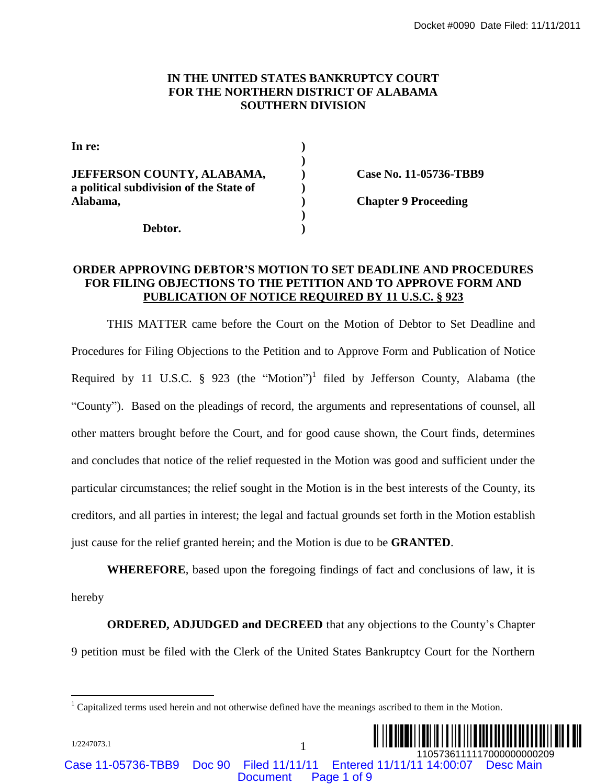#### **IN THE UNITED STATES BANKRUPTCY COURT FOR THE NORTHERN DISTRICT OF ALABAMA SOUTHERN DIVISION**

| In re:                                  |  |
|-----------------------------------------|--|
|                                         |  |
| <b>JEFFERSON COUNTY, ALABAMA,</b>       |  |
| a political subdivision of the State of |  |
| Alabama,                                |  |
|                                         |  |
| Debtor.                                 |  |

**JEFFERSON COUNTY, ALABAMA, ) Case No. 11-05736-TBB9**

**Alabama, ) Chapter 9 Proceeding**

#### **ORDER APPROVING DEBTOR'S MOTION TO SET DEADLINE AND PROCEDURES FOR FILING OBJECTIONS TO THE PETITION AND TO APPROVE FORM AND PUBLICATION OF NOTICE REQUIRED BY 11 U.S.C. § 923**

THIS MATTER came before the Court on the Motion of Debtor to Set Deadline and Procedures for Filing Objections to the Petition and to Approve Form and Publication of Notice Required by 11 U.S.C.  $\S$  923 (the "Motion")<sup>1</sup> filed by Jefferson County, Alabama (the "County"). Based on the pleadings of record, the arguments and representations of counsel, all other matters brought before the Court, and for good cause shown, the Court finds, determines and concludes that notice of the relief requested in the Motion was good and sufficient under the particular circumstances; the relief sought in the Motion is in the best interests of the County, its creditors, and all parties in interest; the legal and factual grounds set forth in the Motion establish just cause for the relief granted herein; and the Motion is due to be **GRANTED**. Document Page 1 of 9¨1¤\*YD++1 ")V« 1105736111117000000000209 Docket #0090 Date Filed: 11/11/2011

**WHEREFORE**, based upon the foregoing findings of fact and conclusions of law, it is hereby

**ORDERED, ADJUDGED and DECREED** that any objections to the County's Chapter 9 petition must be filed with the Clerk of the United States Bankruptcy Court for the Northern

 $1$  Capitalized terms used herein and not otherwise defined have the meanings ascribed to them in the Motion.



Case 11-05736-TBB9 Doc 90 Filed 11/11/11 Entered 11/11/11 14:00:07 Desc Main

1/2247073.1 1

 $\overline{a}$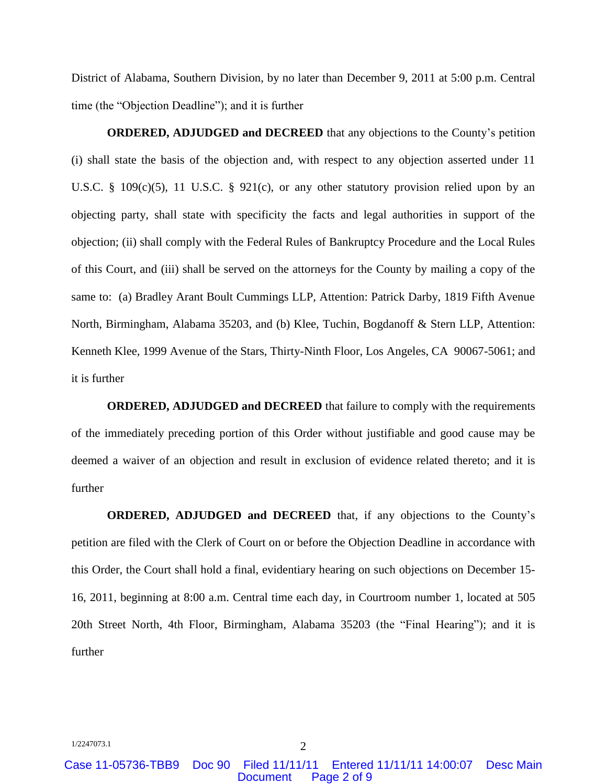District of Alabama, Southern Division, by no later than December 9, 2011 at 5:00 p.m. Central time (the "Objection Deadline"); and it is further

**ORDERED, ADJUDGED and DECREED** that any objections to the County's petition (i) shall state the basis of the objection and, with respect to any objection asserted under 11 U.S.C. § 109 $(c)(5)$ , 11 U.S.C. § 921 $(c)$ , or any other statutory provision relied upon by an objecting party, shall state with specificity the facts and legal authorities in support of the objection; (ii) shall comply with the Federal Rules of Bankruptcy Procedure and the Local Rules of this Court, and (iii) shall be served on the attorneys for the County by mailing a copy of the same to: (a) Bradley Arant Boult Cummings LLP, Attention: Patrick Darby, 1819 Fifth Avenue North, Birmingham, Alabama 35203, and (b) Klee, Tuchin, Bogdanoff & Stern LLP, Attention: Kenneth Klee, 1999 Avenue of the Stars, Thirty-Ninth Floor, Los Angeles, CA 90067-5061; and it is further

**ORDERED, ADJUDGED and DECREED** that failure to comply with the requirements of the immediately preceding portion of this Order without justifiable and good cause may be deemed a waiver of an objection and result in exclusion of evidence related thereto; and it is further

**ORDERED, ADJUDGED and DECREED** that, if any objections to the County's petition are filed with the Clerk of Court on or before the Objection Deadline in accordance with this Order, the Court shall hold a final, evidentiary hearing on such objections on December 15- 16, 2011, beginning at 8:00 a.m. Central time each day, in Courtroom number 1, located at 505 20th Street North, 4th Floor, Birmingham, Alabama 35203 (the "Final Hearing"); and it is further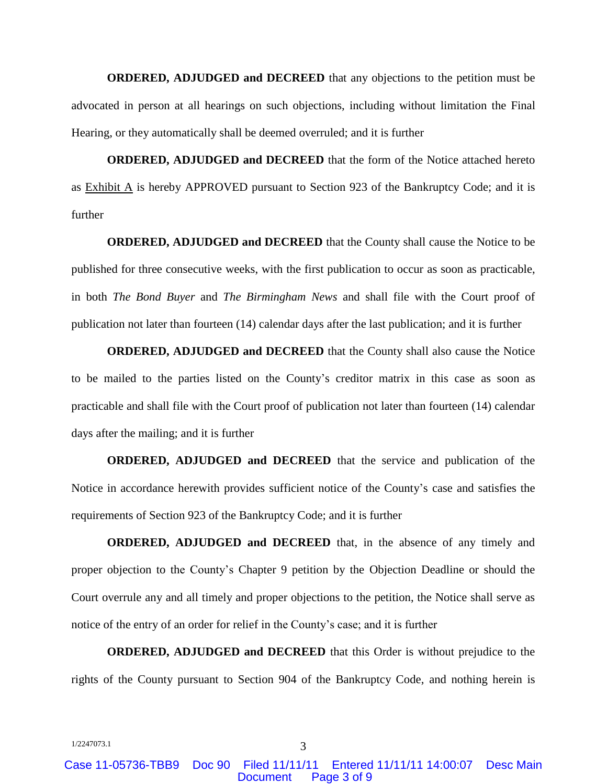**ORDERED, ADJUDGED and DECREED** that any objections to the petition must be advocated in person at all hearings on such objections, including without limitation the Final Hearing, or they automatically shall be deemed overruled; and it is further

**ORDERED, ADJUDGED and DECREED** that the form of the Notice attached hereto as  $Exhibit A$  is hereby APPROVED pursuant to Section 923 of the Bankruptcy Code; and it is further

**ORDERED, ADJUDGED and DECREED** that the County shall cause the Notice to be published for three consecutive weeks, with the first publication to occur as soon as practicable, in both *The Bond Buyer* and *The Birmingham News* and shall file with the Court proof of publication not later than fourteen (14) calendar days after the last publication; and it is further

**ORDERED, ADJUDGED and DECREED** that the County shall also cause the Notice to be mailed to the parties listed on the County's creditor matrix in this case as soon as practicable and shall file with the Court proof of publication not later than fourteen (14) calendar days after the mailing; and it is further

**ORDERED, ADJUDGED and DECREED** that the service and publication of the Notice in accordance herewith provides sufficient notice of the County's case and satisfies the requirements of Section 923 of the Bankruptcy Code; and it is further

**ORDERED, ADJUDGED and DECREED** that, in the absence of any timely and proper objection to the County's Chapter 9 petition by the Objection Deadline or should the Court overrule any and all timely and proper objections to the petition, the Notice shall serve as notice of the entry of an order for relief in the County's case; and it is further

**ORDERED, ADJUDGED and DECREED** that this Order is without prejudice to the rights of the County pursuant to Section 904 of the Bankruptcy Code, and nothing herein is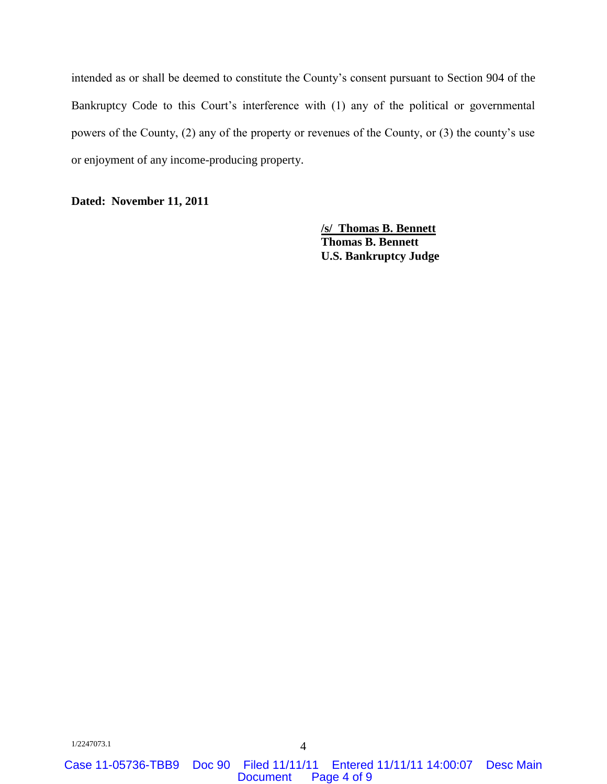intended as or shall be deemed to constitute the County's consent pursuant to Section 904 of the Bankruptcy Code to this Court's interference with (1) any of the political or governmental powers of the County, (2) any of the property or revenues of the County, or (3) the county's use or enjoyment of any income-producing property.

**Dated: November 11, 2011**

**/s/ Thomas B. Bennett Thomas B. Bennett U.S. Bankruptcy Judge**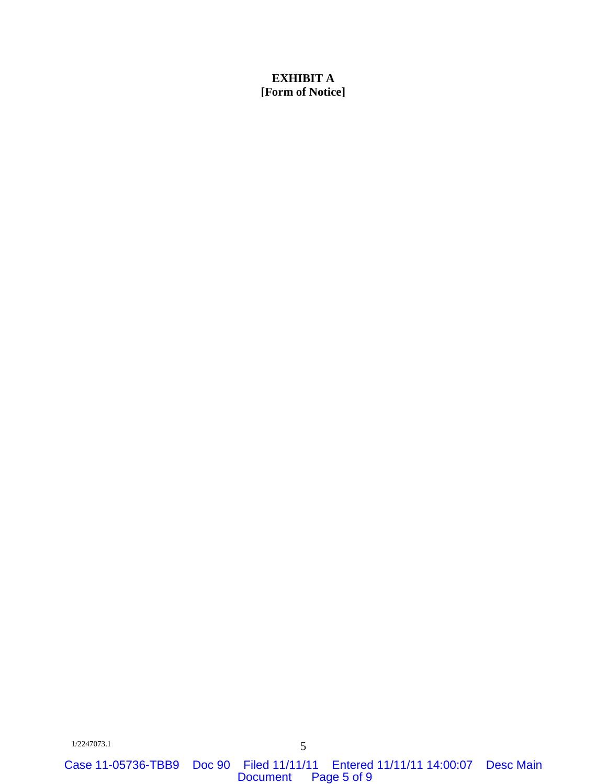# **EXHIBIT A [Form of Notice]**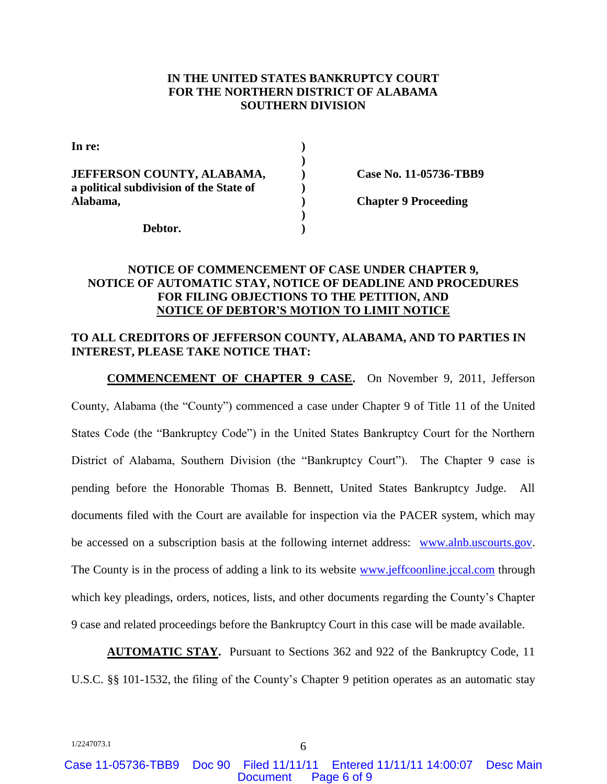#### **IN THE UNITED STATES BANKRUPTCY COURT FOR THE NORTHERN DISTRICT OF ALABAMA SOUTHERN DIVISION**

| In re:                                  |  |
|-----------------------------------------|--|
|                                         |  |
| JEFFERSON COUNTY, ALABAMA,              |  |
| a political subdivision of the State of |  |
| Alabama,                                |  |
|                                         |  |
| Debtor.                                 |  |

**JEFFERSON COUNTY, ALABAMA, ) Case No. 11-05736-TBB9**

**Alabama, ) Chapter 9 Proceeding**

# **NOTICE OF COMMENCEMENT OF CASE UNDER CHAPTER 9, NOTICE OF AUTOMATIC STAY, NOTICE OF DEADLINE AND PROCEDURES FOR FILING OBJECTIONS TO THE PETITION, AND NOTICE OF DEBTOR'S MOTION TO LIMIT NOTICE**

### **TO ALL CREDITORS OF JEFFERSON COUNTY, ALABAMA, AND TO PARTIES IN INTEREST, PLEASE TAKE NOTICE THAT:**

**COMMENCEMENT OF CHAPTER 9 CASE.** On November 9, 2011, Jefferson County, Alabama (the "County") commenced a case under Chapter 9 of Title 11 of the United States Code (the "Bankruptcy Code") in the United States Bankruptcy Court for the Northern District of Alabama, Southern Division (the "Bankruptcy Court"). The Chapter 9 case is pending before the Honorable Thomas B. Bennett, United States Bankruptcy Judge. All documents filed with the Court are available for inspection via the PACER system, which may be accessed on a subscription basis at the following internet address: [www.alnb.uscourts.gov.](http://www.alnb.uscourts.gov/) The County is in the process of adding a link to its website [www.jeffcoonline.jccal.com](http://www.jeffcoonline.jccal.com/) through which key pleadings, orders, notices, lists, and other documents regarding the County's Chapter 9 case and related proceedings before the Bankruptcy Court in this case will be made available.

**AUTOMATIC STAY.** Pursuant to Sections 362 and 922 of the Bankruptcy Code, 11 U.S.C. §§ 101-1532, the filing of the County's Chapter 9 petition operates as an automatic stay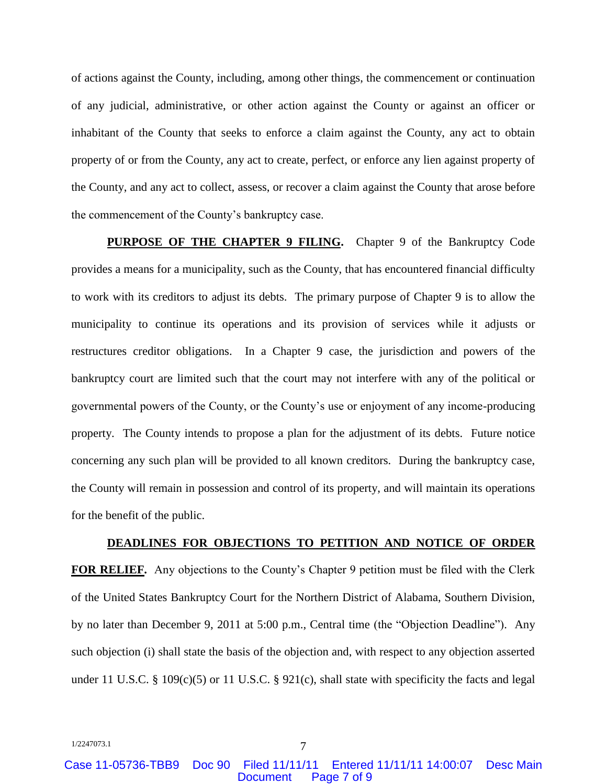of actions against the County, including, among other things, the commencement or continuation of any judicial, administrative, or other action against the County or against an officer or inhabitant of the County that seeks to enforce a claim against the County, any act to obtain property of or from the County, any act to create, perfect, or enforce any lien against property of the County, and any act to collect, assess, or recover a claim against the County that arose before the commencement of the County's bankruptcy case.

**PURPOSE OF THE CHAPTER 9 FILING.** Chapter 9 of the Bankruptcy Code provides a means for a municipality, such as the County, that has encountered financial difficulty to work with its creditors to adjust its debts. The primary purpose of Chapter 9 is to allow the municipality to continue its operations and its provision of services while it adjusts or restructures creditor obligations. In a Chapter 9 case, the jurisdiction and powers of the bankruptcy court are limited such that the court may not interfere with any of the political or governmental powers of the County, or the County's use or enjoyment of any income-producing property. The County intends to propose a plan for the adjustment of its debts. Future notice concerning any such plan will be provided to all known creditors. During the bankruptcy case, the County will remain in possession and control of its property, and will maintain its operations for the benefit of the public.

#### **DEADLINES FOR OBJECTIONS TO PETITION AND NOTICE OF ORDER**

**FOR RELIEF.** Any objections to the County's Chapter 9 petition must be filed with the Clerk of the United States Bankruptcy Court for the Northern District of Alabama, Southern Division, by no later than December 9, 2011 at 5:00 p.m., Central time (the "Objection Deadline"). Any such objection (i) shall state the basis of the objection and, with respect to any objection asserted under 11 U.S.C. § 109 $(c)(5)$  or 11 U.S.C. § 921 $(c)$ , shall state with specificity the facts and legal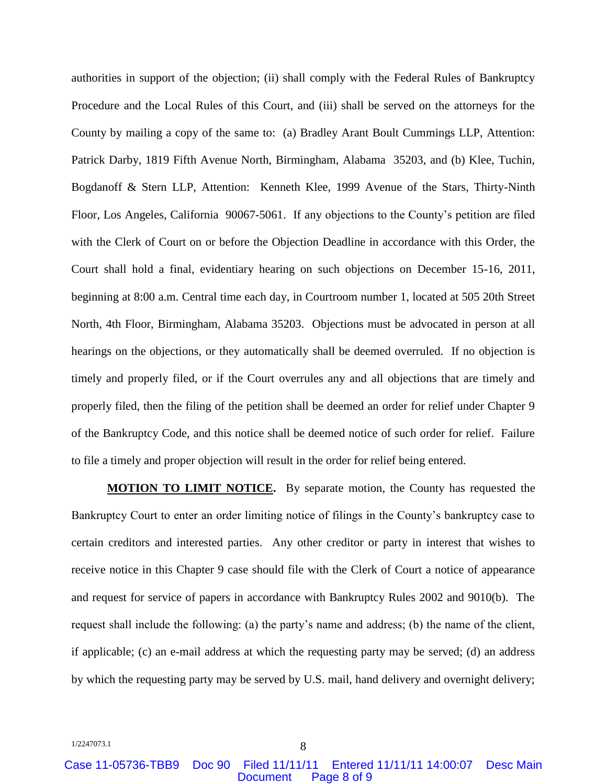authorities in support of the objection; (ii) shall comply with the Federal Rules of Bankruptcy Procedure and the Local Rules of this Court, and (iii) shall be served on the attorneys for the County by mailing a copy of the same to: (a) Bradley Arant Boult Cummings LLP, Attention: Patrick Darby, 1819 Fifth Avenue North, Birmingham, Alabama 35203, and (b) Klee, Tuchin, Bogdanoff & Stern LLP, Attention: Kenneth Klee, 1999 Avenue of the Stars, Thirty-Ninth Floor, Los Angeles, California 90067-5061. If any objections to the County's petition are filed with the Clerk of Court on or before the Objection Deadline in accordance with this Order, the Court shall hold a final, evidentiary hearing on such objections on December 15-16, 2011, beginning at 8:00 a.m. Central time each day, in Courtroom number 1, located at 505 20th Street North, 4th Floor, Birmingham, Alabama 35203. Objections must be advocated in person at all hearings on the objections, or they automatically shall be deemed overruled. If no objection is timely and properly filed, or if the Court overrules any and all objections that are timely and properly filed, then the filing of the petition shall be deemed an order for relief under Chapter 9 of the Bankruptcy Code, and this notice shall be deemed notice of such order for relief. Failure to file a timely and proper objection will result in the order for relief being entered.

**MOTION TO LIMIT NOTICE.** By separate motion, the County has requested the Bankruptcy Court to enter an order limiting notice of filings in the County's bankruptcy case to certain creditors and interested parties. Any other creditor or party in interest that wishes to receive notice in this Chapter 9 case should file with the Clerk of Court a notice of appearance and request for service of papers in accordance with Bankruptcy Rules 2002 and 9010(b). The request shall include the following: (a) the party's name and address; (b) the name of the client, if applicable; (c) an e-mail address at which the requesting party may be served; (d) an address by which the requesting party may be served by U.S. mail, hand delivery and overnight delivery;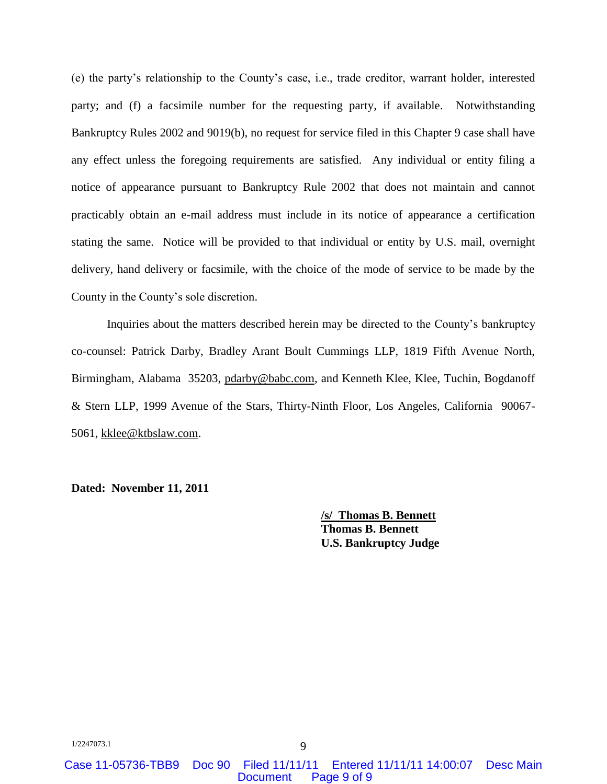(e) the party's relationship to the County's case, i.e., trade creditor, warrant holder, interested party; and (f) a facsimile number for the requesting party, if available. Notwithstanding Bankruptcy Rules 2002 and 9019(b), no request for service filed in this Chapter 9 case shall have any effect unless the foregoing requirements are satisfied. Any individual or entity filing a notice of appearance pursuant to Bankruptcy Rule 2002 that does not maintain and cannot practicably obtain an e-mail address must include in its notice of appearance a certification stating the same. Notice will be provided to that individual or entity by U.S. mail, overnight delivery, hand delivery or facsimile, with the choice of the mode of service to be made by the County in the County's sole discretion.

Inquiries about the matters described herein may be directed to the County's bankruptcy co-counsel: Patrick Darby, Bradley Arant Boult Cummings LLP, 1819 Fifth Avenue North, Birmingham, Alabama 35203, pdarby@babc.com, and Kenneth Klee, Klee, Tuchin, Bogdanoff & Stern LLP, 1999 Avenue of the Stars, Thirty-Ninth Floor, Los Angeles, California 90067- 5061, kklee@ktbslaw.com.

**Dated: November 11, 2011**

**/s/ Thomas B. Bennett Thomas B. Bennett U.S. Bankruptcy Judge**